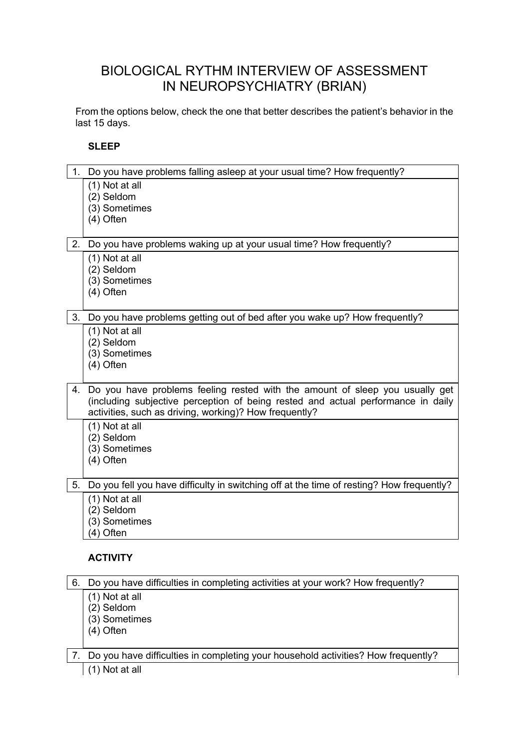# BIOLOGICAL RYTHM INTERVIEW OF ASSESSMENT IN NEUROPSYCHIATRY (BRIAN)

From the options below, check the one that better describes the patient's behavior in the last 15 days.

#### **SLEEP**

| 1. | Do you have problems falling asleep at your usual time? How frequently?                                                                                                                                                       |
|----|-------------------------------------------------------------------------------------------------------------------------------------------------------------------------------------------------------------------------------|
|    | (1) Not at all<br>(2) Seldom<br>(3) Sometimes<br>$(4)$ Often                                                                                                                                                                  |
| 2. | Do you have problems waking up at your usual time? How frequently?                                                                                                                                                            |
|    | (1) Not at all<br>(2) Seldom<br>(3) Sometimes<br>$(4)$ Often                                                                                                                                                                  |
| 3. | Do you have problems getting out of bed after you wake up? How frequently?                                                                                                                                                    |
|    | (1) Not at all<br>(2) Seldom<br>(3) Sometimes<br>$(4)$ Often                                                                                                                                                                  |
|    | 4. Do you have problems feeling rested with the amount of sleep you usually get<br>(including subjective perception of being rested and actual performance in daily<br>activities, such as driving, working)? How frequently? |
|    | (1) Not at all<br>(2) Seldom<br>(3) Sometimes<br>$(4)$ Often                                                                                                                                                                  |
| 5. | Do you fell you have difficulty in switching off at the time of resting? How frequently?                                                                                                                                      |
|    | (1) Not at all<br>(2) Seldom<br>(3) Sometimes<br>(4) Often                                                                                                                                                                    |
|    | ACTIVITY                                                                                                                                                                                                                      |
| 6. | Do you have difficulties in completing activities at your work? How frequently?                                                                                                                                               |
|    | (1) Not at all<br>(2) Seldom<br>(3) Sometimes<br>(4) Often                                                                                                                                                                    |

7. Do you have difficulties in completing your household activities? How frequently? (1) Not at all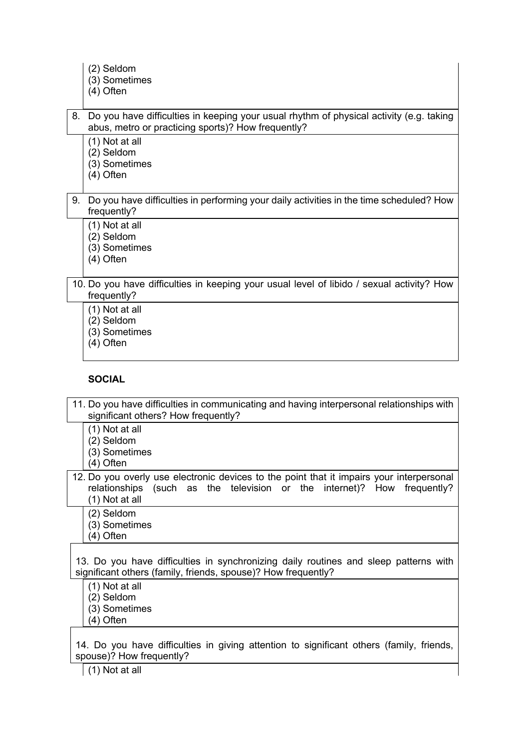- (2) Seldom
- (3) Sometimes
- (4) Often

8. Do you have difficulties in keeping your usual rhythm of physical activity (e.g. taking abus, metro or practicing sports)? How frequently?

(1) Not at all

- (2) Seldom
- (3) Sometimes
- (4) Often

# 9. Do you have difficulties in performing your daily activities in the time scheduled? How frequently?

- (1) Not at all
- (2) Seldom
- (3) Sometimes
- (4) Often

## 10. Do you have difficulties in keeping your usual level of libido / sexual activity? How frequently?

- (1) Not at all
- (2) Seldom
- (3) Sometimes
- (4) Often

## **SOCIAL**

- 11. Do you have difficulties in communicating and having interpersonal relationships with significant others? How frequently?
	- (1) Not at all
	- (2) Seldom
	- (3) Sometimes
	- (4) Often
- 12. Do you overly use electronic devices to the point that it impairs your interpersonal relationships (such as the television or the internet)? How frequently? (1) Not at all
	- (2) Seldom
	- (3) Sometimes
	- (4) Often

13. Do you have difficulties in synchronizing daily routines and sleep patterns with significant others (family, friends, spouse)? How frequently?

- (1) Not at all
- (2) Seldom
- (3) Sometimes
- (4) Often

14. Do you have difficulties in giving attention to significant others (family, friends, spouse)? How frequently?

 $(1)$  Not at all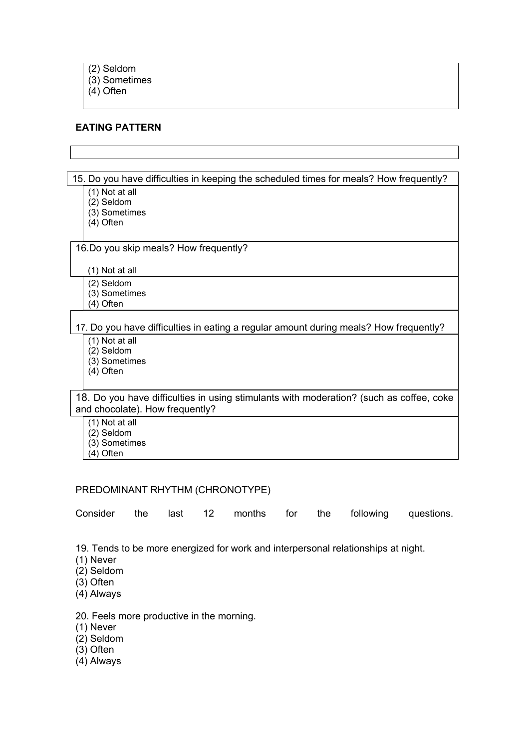(3) Sometimes

(4) Often

# **EATING PATTERN**

15. Do you have difficulties in keeping the scheduled times for meals? How frequently? (1) Not at all (2) Seldom (3) Sometimes (4) Often 16.Do you skip meals? How frequently? (1) Not at all (2) Seldom (3) Sometimes  $(4)$  Often 17. Do you have difficulties in eating a regular amount during meals? How frequently? (1) Not at all (2) Seldom (3) Sometimes (4) Often 18. Do you have difficulties in using stimulants with moderation? (such as coffee, coke and chocolate). How frequently? (1) Not at all (2) Seldom (3) Sometimes  $(4)$  Often

# PREDOMINANT RHYTHM (CHRONOTYPE)

|  |  |  |  |  |  |  | Consider the last 12 months for the following questions. |  |
|--|--|--|--|--|--|--|----------------------------------------------------------|--|
|--|--|--|--|--|--|--|----------------------------------------------------------|--|

19. Tends to be more energized for work and interpersonal relationships at night.

- (1) Never
- (2) Seldom
- (3) Often
- (4) Always

20. Feels more productive in the morning.

- (1) Never
- (2) Seldom
- (3) Often
- (4) Always